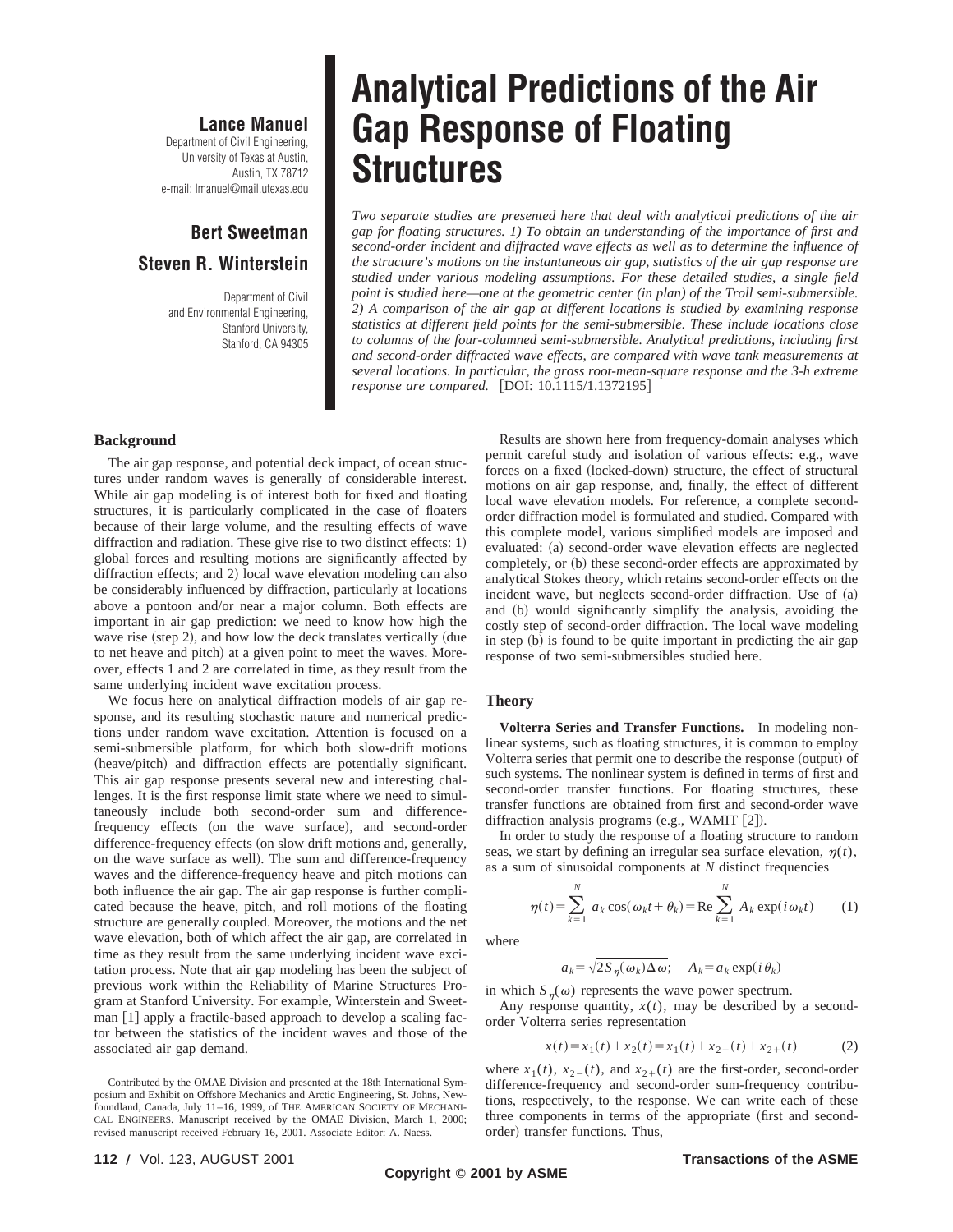### **Lance Manuel**

Department of Civil Engineering, University of Texas at Austin, Austin, TX 78712 e-mail: lmanuel@mail.utexas.edu

## **Bert Sweetman Steven R. Winterstein**

Department of Civil and Environmental Engineering, Stanford University, Stanford, CA 94305

# **Analytical Predictions of the Air Gap Response of Floating Structures**

*Two separate studies are presented here that deal with analytical predictions of the air gap for floating structures. 1) To obtain an understanding of the importance of first and second-order incident and diffracted wave effects as well as to determine the influence of the structure's motions on the instantaneous air gap, statistics of the air gap response are studied under various modeling assumptions. For these detailed studies, a single field point is studied here—one at the geometric center (in plan) of the Troll semi-submersible. 2) A comparison of the air gap at different locations is studied by examining response statistics at different field points for the semi-submersible. These include locations close to columns of the four-columned semi-submersible. Analytical predictions, including first and second-order diffracted wave effects, are compared with wave tank measurements at several locations. In particular, the gross root-mean-square response and the 3-h extreme response are compared.* [DOI: 10.1115/1.1372195]

#### **Background**

The air gap response, and potential deck impact, of ocean structures under random waves is generally of considerable interest. While air gap modeling is of interest both for fixed and floating structures, it is particularly complicated in the case of floaters because of their large volume, and the resulting effects of wave diffraction and radiation. These give rise to two distinct effects:  $1$ ) global forces and resulting motions are significantly affected by diffraction effects; and 2) local wave elevation modeling can also be considerably influenced by diffraction, particularly at locations above a pontoon and/or near a major column. Both effects are important in air gap prediction: we need to know how high the wave rise (step 2), and how low the deck translates vertically (due to net heave and pitch) at a given point to meet the waves. Moreover, effects 1 and 2 are correlated in time, as they result from the same underlying incident wave excitation process.

We focus here on analytical diffraction models of air gap response, and its resulting stochastic nature and numerical predictions under random wave excitation. Attention is focused on a semi-submersible platform, for which both slow-drift motions (heave/pitch) and diffraction effects are potentially significant. This air gap response presents several new and interesting challenges. It is the first response limit state where we need to simultaneously include both second-order sum and differencefrequency effects (on the wave surface), and second-order difference-frequency effects (on slow drift motions and, generally, on the wave surface as well). The sum and difference-frequency waves and the difference-frequency heave and pitch motions can both influence the air gap. The air gap response is further complicated because the heave, pitch, and roll motions of the floating structure are generally coupled. Moreover, the motions and the net wave elevation, both of which affect the air gap, are correlated in time as they result from the same underlying incident wave excitation process. Note that air gap modeling has been the subject of previous work within the Reliability of Marine Structures Program at Stanford University. For example, Winterstein and Sweetman [1] apply a fractile-based approach to develop a scaling factor between the statistics of the incident waves and those of the associated air gap demand.

permit careful study and isolation of various effects: e.g., wave forces on a fixed (locked-down) structure, the effect of structural motions on air gap response, and, finally, the effect of different local wave elevation models. For reference, a complete secondorder diffraction model is formulated and studied. Compared with this complete model, various simplified models are imposed and evaluated: (a) second-order wave elevation effects are neglected completely, or (b) these second-order effects are approximated by analytical Stokes theory, which retains second-order effects on the incident wave, but neglects second-order diffraction. Use of  $(a)$ and (b) would significantly simplify the analysis, avoiding the costly step of second-order diffraction. The local wave modeling in step  $(b)$  is found to be quite important in predicting the air gap response of two semi-submersibles studied here.

Results are shown here from frequency-domain analyses which

#### **Theory**

**Volterra Series and Transfer Functions.** In modeling nonlinear systems, such as floating structures, it is common to employ Volterra series that permit one to describe the response (output) of such systems. The nonlinear system is defined in terms of first and second-order transfer functions. For floating structures, these transfer functions are obtained from first and second-order wave diffraction analysis programs  $(e.g., WAMIT [2]).$ 

In order to study the response of a floating structure to random seas, we start by defining an irregular sea surface elevation,  $\eta(t)$ , as a sum of sinusoidal components at *N* distinct frequencies

$$
\eta(t) = \sum_{k=1}^{N} a_k \cos(\omega_k t + \theta_k) = \text{Re} \sum_{k=1}^{N} A_k \exp(i\omega_k t)
$$
 (1)

where

$$
a_k = \sqrt{2S_{\eta}(\omega_k)\Delta\omega}; \quad A_k = a_k \exp(i\theta_k)
$$

in which  $S_n(\omega)$  represents the wave power spectrum.

Any response quantity,  $x(t)$ , may be described by a secondorder Volterra series representation

$$
x(t) = x_1(t) + x_2(t) = x_1(t) + x_2(t) + x_2(t)
$$
 (2)

where  $x_1(t)$ ,  $x_2(t)$ , and  $x_2(t)$  are the first-order, second-order difference-frequency and second-order sum-frequency contributions, respectively, to the response. We can write each of these three components in terms of the appropriate (first and secondorder) transfer functions. Thus,

Contributed by the OMAE Division and presented at the 18th International Symposium and Exhibit on Offshore Mechanics and Arctic Engineering, St. Johns, Newfoundland, Canada, July 11–16, 1999, of THE AMERICAN SOCIETY OF MECHANI-CAL ENGINEERS. Manuscript received by the OMAE Division, March 1, 2000; revised manuscript received February 16, 2001. Associate Editor: A. Naess.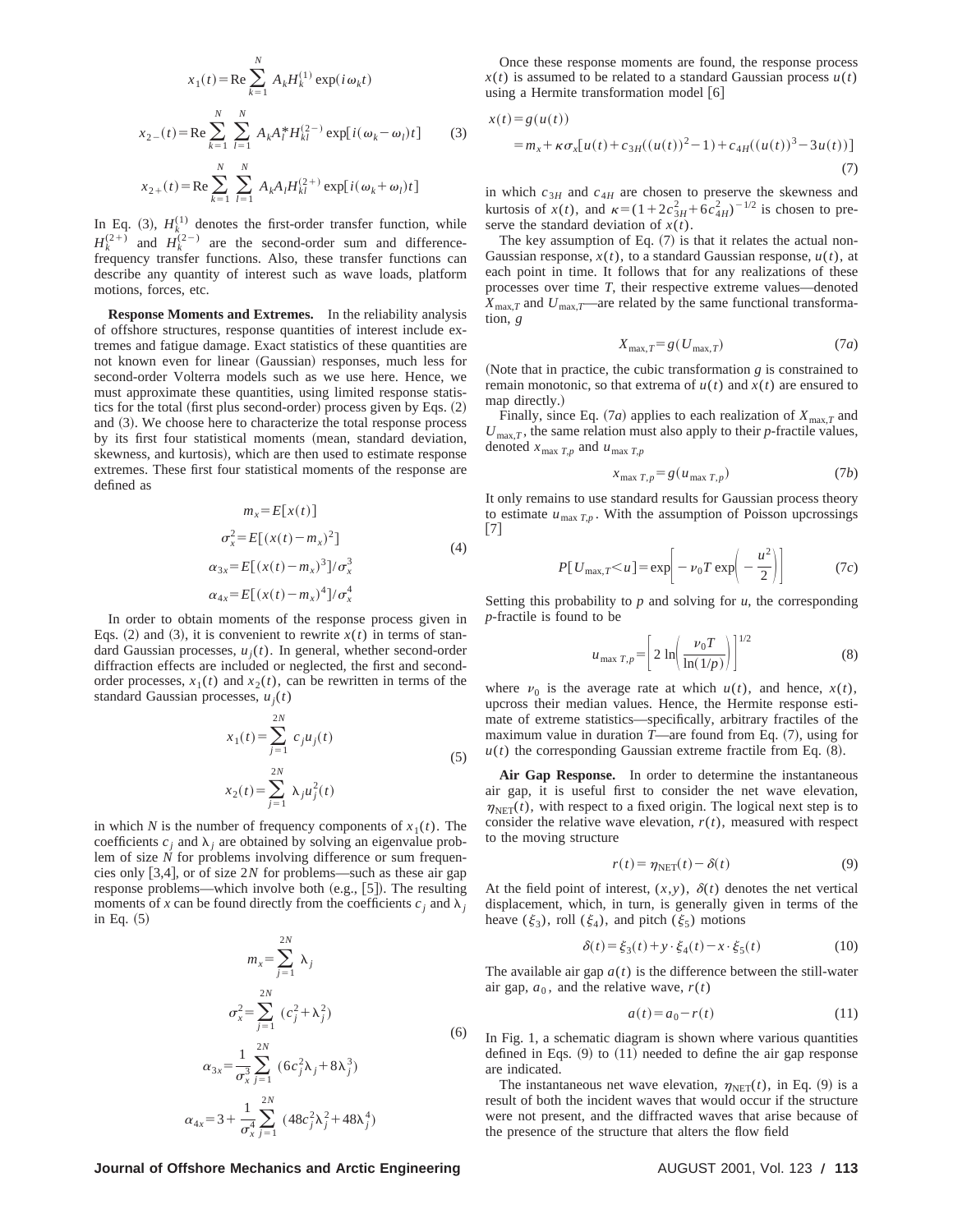$$
x_1(t) = \text{Re} \sum_{k=1}^{N} A_k H_k^{(1)} \exp(i \omega_k t)
$$
  

$$
x_{2-}(t) = \text{Re} \sum_{k=1}^{N} \sum_{l=1}^{N} A_k A_l^* H_{kl}^{(2-)} \exp[i (\omega_k - \omega_l) t]
$$
(3)  

$$
x_{2+}(t) = \text{Re} \sum_{k=1}^{N} \sum_{l=1}^{N} A_k A_l H_{kl}^{(2+)} \exp[i (\omega_k + \omega_l) t]
$$

In Eq. (3),  $H_k^{(1)}$  denotes the first-order transfer function, while  $H_k^{(2+)}$  and  $H_k^{(2-)}$  are the second-order sum and differencefrequency transfer functions. Also, these transfer functions can describe any quantity of interest such as wave loads, platform motions, forces, etc.

**Response Moments and Extremes.** In the reliability analysis of offshore structures, response quantities of interest include extremes and fatigue damage. Exact statistics of these quantities are not known even for linear (Gaussian) responses, much less for second-order Volterra models such as we use here. Hence, we must approximate these quantities, using limited response statistics for the total (first plus second-order) process given by Eqs.  $(2)$ and  $(3)$ . We choose here to characterize the total response process by its first four statistical moments (mean, standard deviation, skewness, and kurtosis), which are then used to estimate response extremes. These first four statistical moments of the response are defined as

$$
m_x = E[x(t)]
$$
  
\n
$$
\sigma_x^2 = E[(x(t) - m_x)^2]
$$
  
\n
$$
\alpha_{3x} = E[(x(t) - m_x)^3]/\sigma_x^3
$$
  
\n
$$
\alpha_{4x} = E[(x(t) - m_x)^4]/\sigma_x^4
$$
\n(4)

In order to obtain moments of the response process given in Eqs. (2) and (3), it is convenient to rewrite  $x(t)$  in terms of standard Gaussian processes,  $u_j(t)$ . In general, whether second-order diffraction effects are included or neglected, the first and secondorder processes,  $x_1(t)$  and  $x_2(t)$ , can be rewritten in terms of the standard Gaussian processes,  $u_i(t)$ 

$$
x_1(t) = \sum_{j=1}^{2N} c_j u_j(t)
$$
  
\n
$$
x_2(t) = \sum_{j=1}^{2N} \lambda_j u_j^2(t)
$$
\n(5)

in which *N* is the number of frequency components of  $x_1(t)$ . The coefficients  $c_i$  and  $\lambda_i$  are obtained by solving an eigenvalue problem of size *N* for problems involving difference or sum frequencies only  $[3,4]$ , or of size 2*N* for problems—such as these air gap response problems—which involve both (e.g., [5]). The resulting moments of *x* can be found directly from the coefficients  $c_i$  and  $\lambda_i$ in Eq.  $(5)$ 

$$
m_{x} = \sum_{j=1}^{2N} \lambda_{j}
$$
  
\n
$$
\sigma_{x}^{2} = \sum_{j=1}^{2N} (c_{j}^{2} + \lambda_{j}^{2})
$$
  
\n
$$
\alpha_{3x} = \frac{1}{\sigma_{x}^{3}} \sum_{j=1}^{2N} (6c_{j}^{2}\lambda_{j} + 8\lambda_{j}^{3})
$$
  
\n
$$
\alpha_{4x} = 3 + \frac{1}{\sigma_{x}^{4}} \sum_{j=1}^{2N} (48c_{j}^{2}\lambda_{j}^{2} + 48\lambda_{j}^{4})
$$
 (6)

Once these response moments are found, the response process  $x(t)$  is assumed to be related to a standard Gaussian process  $u(t)$ using a Hermite transformation model [6]

$$
x(t) = g(u(t))
$$
  
=  $m_x + \kappa \sigma_x [u(t) + c_{3H}((u(t))^2 - 1) + c_{4H}((u(t))^3 - 3u(t))]$  (7)

in which  $c_{3H}$  and  $c_{4H}$  are chosen to preserve the skewness and kurtosis of  $x(t)$ , and  $\kappa = (1 + 2c_{3H}^2 + 6c_{4H}^2)^{-1/2}$  is chosen to preserve the standard deviation of *x*(*t*).

The key assumption of Eq.  $(7)$  is that it relates the actual non-Gaussian response,  $x(t)$ , to a standard Gaussian response,  $u(t)$ , at each point in time. It follows that for any realizations of these processes over time *T*, their respective extreme values—denoted  $X_{\text{max},T}$  and  $U_{\text{max},T}$ —are related by the same functional transformation, *g*

$$
X_{\max,T} = g(U_{\max,T})\tag{7a}
$$

(Note that in practice, the cubic transformation  $g$  is constrained to remain monotonic, so that extrema of  $u(t)$  and  $x(t)$  are ensured to map directly.)

Finally, since Eq.  $(7a)$  applies to each realization of  $X_{\text{max},T}$  and  $U_{\text{max},T}$ , the same relation must also apply to their *p*-fractile values, denoted  $x_{\text{max }T,p}$  and  $u_{\text{max }T,p}$ 

$$
x_{\max T,p} = g(u_{\max T,p})\tag{7b}
$$

It only remains to use standard results for Gaussian process theory to estimate  $u_{\text{max }T,p}$ . With the assumption of Poisson upcrossings  $[7]$ 

$$
P[U_{\text{max},T} < u] = \exp\left[-v_0 T \exp\left(-\frac{u^2}{2}\right)\right] \tag{7c}
$$

Setting this probability to  $p$  and solving for  $u$ , the corresponding *p*-fractile is found to be

$$
u_{\max T, p} = \left[2 \ln \left( \frac{\nu_0 T}{\ln(1/p)} \right) \right]^{1/2} \tag{8}
$$

where  $\nu_0$  is the average rate at which  $u(t)$ , and hence,  $x(t)$ , upcross their median values. Hence, the Hermite response estimate of extreme statistics—specifically, arbitrary fractiles of the maximum value in duration  $T$ —are found from Eq.  $(7)$ , using for  $u(t)$  the corresponding Gaussian extreme fractile from Eq.  $(8)$ .

**Air Gap Response.** In order to determine the instantaneous air gap, it is useful first to consider the net wave elevation,  $\eta_{\text{NET}}(t)$ , with respect to a fixed origin. The logical next step is to consider the relative wave elevation,  $r(t)$ , measured with respect to the moving structure

$$
r(t) = \eta_{\text{NET}}(t) - \delta(t) \tag{9}
$$

At the field point of interest,  $(x, y)$ ,  $\delta(t)$  denotes the net vertical displacement, which, in turn, is generally given in terms of the heave  $(\xi_3)$ , roll  $(\xi_4)$ , and pitch  $(\xi_5)$  motions

$$
\delta(t) = \xi_3(t) + y \cdot \xi_4(t) - x \cdot \xi_5(t)
$$
 (10)

The available air gap  $a(t)$  is the difference between the still-water air gap,  $a_0$ , and the relative wave,  $r(t)$ 

$$
a(t) = a_0 - r(t) \tag{11}
$$

In Fig. 1, a schematic diagram is shown where various quantities defined in Eqs.  $(9)$  to  $(11)$  needed to define the air gap response are indicated.

The instantaneous net wave elevation,  $\eta_{\text{NET}}(t)$ , in Eq. (9) is a result of both the incident waves that would occur if the structure were not present, and the diffracted waves that arise because of the presence of the structure that alters the flow field

**Journal of Offshore Mechanics and Arctic Engineering AUGUST 2001, Vol. 123 / 113**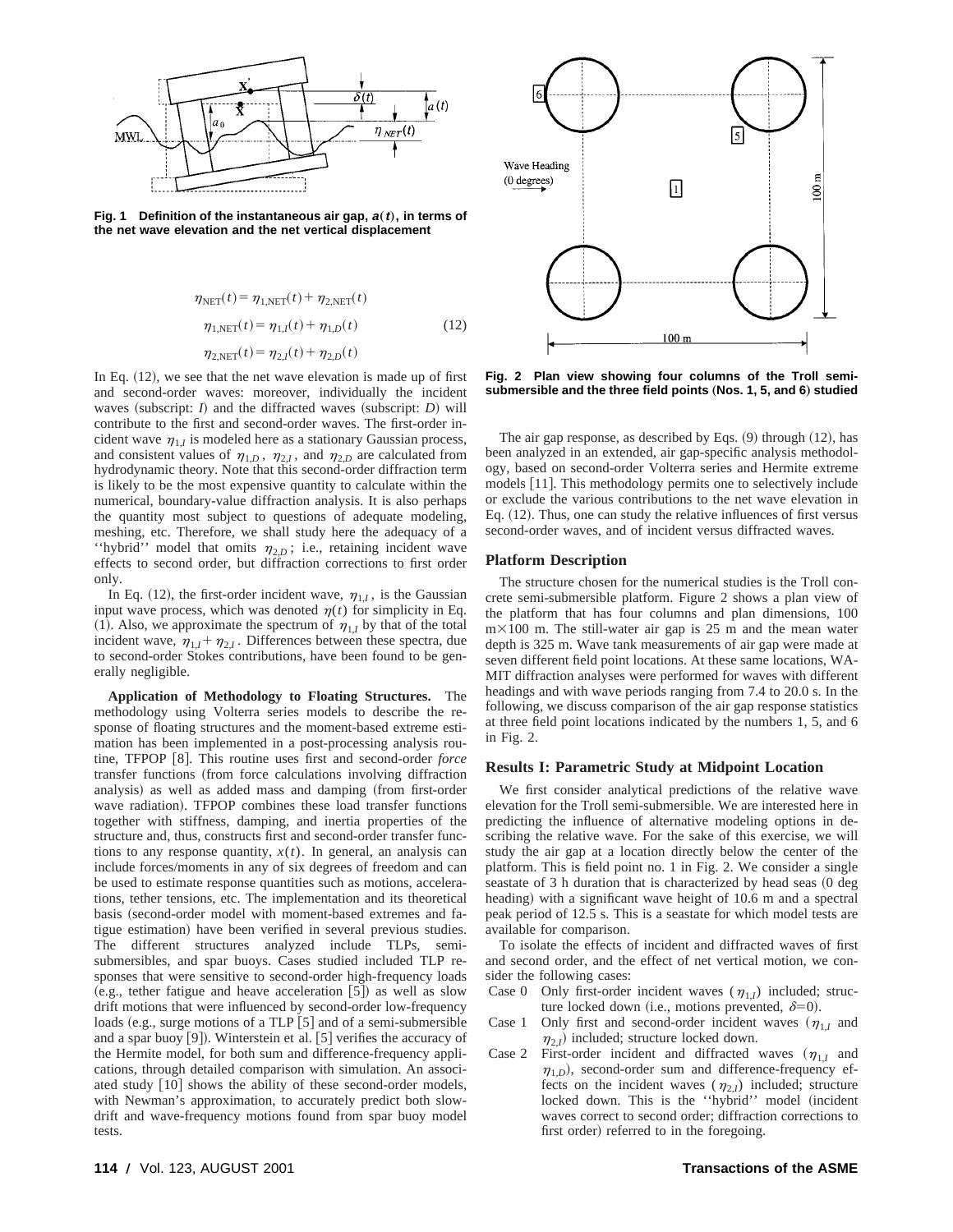

**Fig. 1** Definition of the instantaneous air gap,  $a(t)$ , in terms of **the net wave elevation and the net vertical displacement**

$$
\eta_{NET}(t) = \eta_{1,NET}(t) + \eta_{2,NET}(t)
$$
  
\n
$$
\eta_{1,NET}(t) = \eta_{1,I}(t) + \eta_{1,D}(t)
$$
  
\n
$$
\eta_{2,NET}(t) = \eta_{2,I}(t) + \eta_{2,D}(t)
$$
\n(12)

In Eq.  $(12)$ , we see that the net wave elevation is made up of first and second-order waves: moreover, individually the incident waves (subscript:  $I$ ) and the diffracted waves (subscript:  $D$ ) will contribute to the first and second-order waves. The first-order incident wave  $\eta_{1,I}$  is modeled here as a stationary Gaussian process, and consistent values of  $\eta_{1,D}$ ,  $\eta_{2,I}$ , and  $\eta_{2,D}$  are calculated from hydrodynamic theory. Note that this second-order diffraction term is likely to be the most expensive quantity to calculate within the numerical, boundary-value diffraction analysis. It is also perhaps the quantity most subject to questions of adequate modeling, meshing, etc. Therefore, we shall study here the adequacy of a "hybrid" model that omits  $\eta_{2,D}$ ; i.e., retaining incident wave effects to second order, but diffraction corrections to first order only.

In Eq. (12), the first-order incident wave,  $\eta_{1I}$ , is the Gaussian input wave process, which was denoted  $\eta(t)$  for simplicity in Eq. (1). Also, we approximate the spectrum of  $\eta_{1,I}$  by that of the total incident wave,  $\eta_{1,I} + \eta_{2,I}$ . Differences between these spectra, due to second-order Stokes contributions, have been found to be generally negligible.

**Application of Methodology to Floating Structures.** The methodology using Volterra series models to describe the response of floating structures and the moment-based extreme estimation has been implemented in a post-processing analysis routine, TFPOP [8]. This routine uses first and second-order *force* transfer functions (from force calculations involving diffraction analysis) as well as added mass and damping (from first-order wave radiation). TFPOP combines these load transfer functions together with stiffness, damping, and inertia properties of the structure and, thus, constructs first and second-order transfer functions to any response quantity,  $x(t)$ . In general, an analysis can include forces/moments in any of six degrees of freedom and can be used to estimate response quantities such as motions, accelerations, tether tensions, etc. The implementation and its theoretical basis (second-order model with moment-based extremes and fatigue estimation) have been verified in several previous studies. The different structures analyzed include TLPs, semisubmersibles, and spar buoys. Cases studied included TLP responses that were sensitive to second-order high-frequency loads (e.g., tether fatigue and heave acceleration  $[5]$ ) as well as slow drift motions that were influenced by second-order low-frequency loads (e.g., surge motions of a TLP  $[5]$  and of a semi-submersible and a spar buoy [9]). Winterstein et al. [5] verifies the accuracy of the Hermite model, for both sum and difference-frequency applications, through detailed comparison with simulation. An associated study [10] shows the ability of these second-order models, with Newman's approximation, to accurately predict both slowdrift and wave-frequency motions found from spar buoy model tests.



**Fig. 2 Plan view showing four columns of the Troll semi**submersible and the three field points (Nos. 1, 5, and 6) studied

The air gap response, as described by Eqs.  $(9)$  through  $(12)$ , has been analyzed in an extended, air gap-specific analysis methodology, based on second-order Volterra series and Hermite extreme models [11]. This methodology permits one to selectively include or exclude the various contributions to the net wave elevation in Eq.  $(12)$ . Thus, one can study the relative influences of first versus second-order waves, and of incident versus diffracted waves.

#### **Platform Description**

The structure chosen for the numerical studies is the Troll concrete semi-submersible platform. Figure 2 shows a plan view of the platform that has four columns and plan dimensions, 100  $m\times100$  m. The still-water air gap is 25 m and the mean water depth is 325 m. Wave tank measurements of air gap were made at seven different field point locations. At these same locations, WA-MIT diffraction analyses were performed for waves with different headings and with wave periods ranging from 7.4 to 20.0 s. In the following, we discuss comparison of the air gap response statistics at three field point locations indicated by the numbers 1, 5, and 6 in Fig. 2.

#### **Results I: Parametric Study at Midpoint Location**

We first consider analytical predictions of the relative wave elevation for the Troll semi-submersible. We are interested here in predicting the influence of alternative modeling options in describing the relative wave. For the sake of this exercise, we will study the air gap at a location directly below the center of the platform. This is field point no. 1 in Fig. 2. We consider a single seastate of  $3$  h duration that is characterized by head seas  $(0 \text{ deg})$ heading) with a significant wave height of 10.6 m and a spectral peak period of 12.5 s. This is a seastate for which model tests are available for comparison.

To isolate the effects of incident and diffracted waves of first and second order, and the effect of net vertical motion, we consider the following cases:

- Case 0 Only first-order incident waves  $(\eta_{1,I})$  included; structure locked down (i.e., motions prevented,  $\delta=0$ ).
- Case 1 Only first and second-order incident waves  $(\eta_{1I})$  and  $\eta$ <sub>2</sub>, i) included; structure locked down.
- Case 2 First-order incident and diffracted waves  $(\eta_{1,I}$  and  $\eta_{1,D}$ ), second-order sum and difference-frequency effects on the incident waves ( $\eta_{2,I}$ ) included; structure locked down. This is the "hybrid" model (incident waves correct to second order; diffraction corrections to first order) referred to in the foregoing.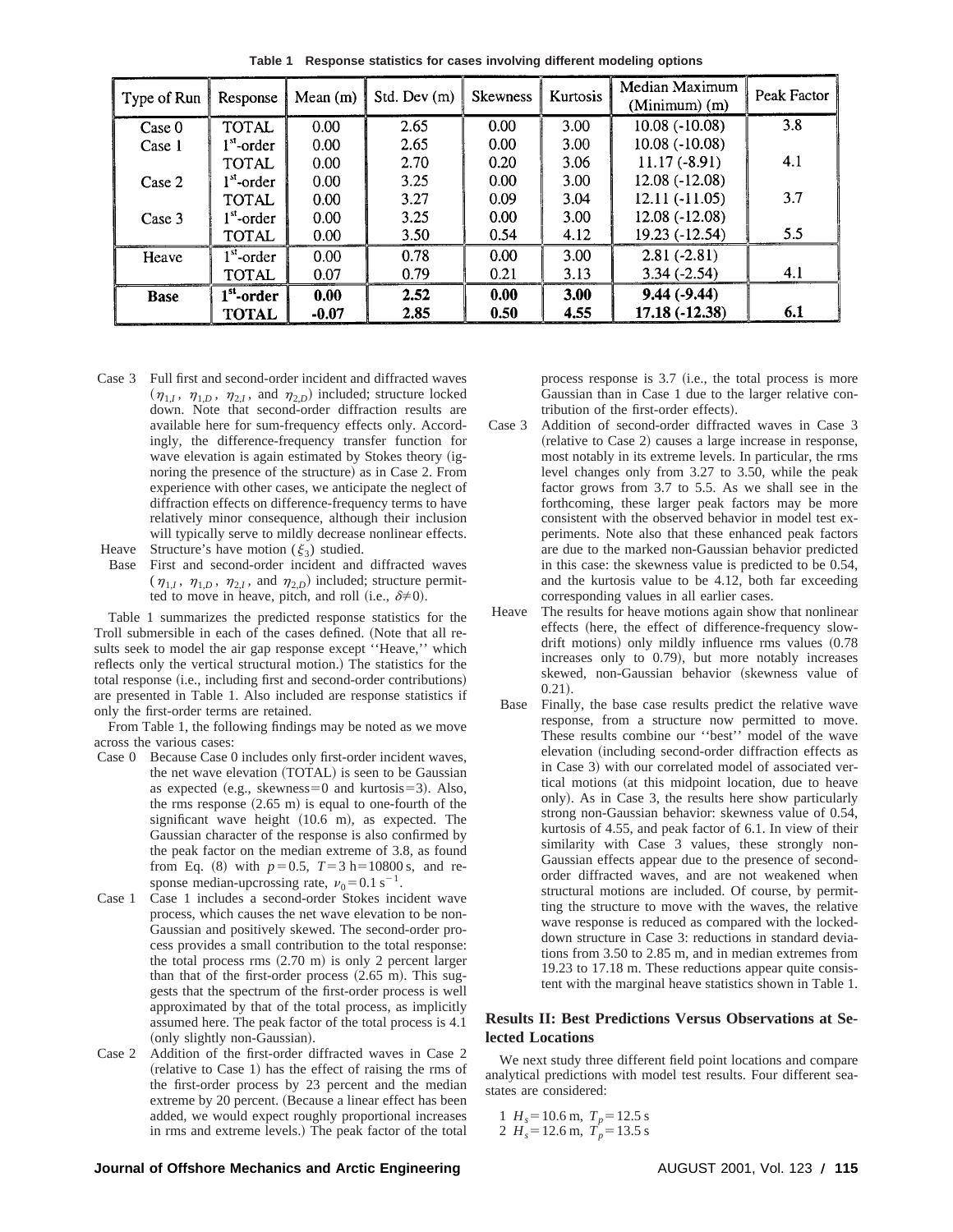| Type of Run | Response               | Mean $(m)$        | Std. Dev(m) | <b>Skewness</b> | <b>Kurtosis</b> | Median Maximum<br>$(Minimum)$ (m) | Peak Factor |
|-------------|------------------------|-------------------|-------------|-----------------|-----------------|-----------------------------------|-------------|
| Case 0      | TOTAL                  | 0.00              | 2.65        | 0.00            | 3.00            | $10.08(-10.08)$                   | 3.8         |
| Case 1      | l <sup>st</sup> -order | 0.00 <sub>1</sub> | 2.65        | 0.00            | 3.00            | $10.08(-10.08)$                   |             |
|             | TOTAL                  | 0.00              | 2.70        | 0.20            | 3.06            | $11.17(-8.91)$                    | 4.1         |
| Case 2      | $1st$ -order           | 0.00              | 3.25        | 0.00            | 3.00            | $12.08(-12.08)$                   |             |
|             | TOTAL                  | 0.00              | 3.27        | 0.09            | 3.04            | $12.11(-11.05)$                   | 3.7         |
| Case 3      | $1st$ -order           | 0.00              | 3.25        | 0.00            | 3.00            | $12.08(-12.08)$                   |             |
|             | TOTAL                  | 0.00              | 3.50        | 0.54            | 4.12            | 19.23 (-12.54)                    | 5.5         |
| Heave       | $1st$ -order           | 0.00              | 0.78        | 0.00            | 3.00            | $2.81(-2.81)$                     |             |
|             | TOTAL                  | 0.07              | 0.79        | 0.21            | 3.13            | $3.34(-2.54)$                     | 4.1         |
| <b>Base</b> | $1st$ -order           | 0.00              | 2.52        | 0.00            | 3.00            | $9.44(-9.44)$                     |             |
|             | <b>TOTAL</b>           | $-0.07$           | 2.85        | 0.50            | 4.55            | 17.18 (-12.38)                    | 6.1         |

**Table 1 Response statistics for cases involving different modeling options**

Case 3 Full first and second-order incident and diffracted waves  $(\eta_{1,I}, \eta_{1,D}, \eta_{2,I}, \text{ and } \eta_{2,D})$  included; structure locked down. Note that second-order diffraction results are available here for sum-frequency effects only. Accordingly, the difference-frequency transfer function for wave elevation is again estimated by Stokes theory (ignoring the presence of the structure) as in Case 2. From experience with other cases, we anticipate the neglect of diffraction effects on difference-frequency terms to have relatively minor consequence, although their inclusion will typically serve to mildly decrease nonlinear effects.

Heave Structure's have motion  $(\xi_3)$  studied.

Base First and second-order incident and diffracted waves  $(\eta_{1,I}, \eta_{1,D}, \eta_{2,I}, \text{ and } \eta_{2,D})$  included; structure permitted to move in heave, pitch, and roll (i.e.,  $\delta \neq 0$ ).

Table 1 summarizes the predicted response statistics for the Troll submersible in each of the cases defined. (Note that all results seek to model the air gap response except ''Heave,'' which reflects only the vertical structural motion.! The statistics for the total response (i.e., including first and second-order contributions) are presented in Table 1. Also included are response statistics if only the first-order terms are retained.

From Table 1, the following findings may be noted as we move across the various cases:

- Case 0 Because Case 0 includes only first-order incident waves, the net wave elevation (TOTAL) is seen to be Gaussian as expected (e.g., skewness=0 and kurtosis=3). Also, the rms response  $(2.65 \text{ m})$  is equal to one-fourth of the significant wave height  $(10.6 \text{ m})$ , as expected. The Gaussian character of the response is also confirmed by the peak factor on the median extreme of 3.8, as found from Eq. (8) with  $p=0.5$ ,  $T=3$  h=10800 s, and response median-upcrossing rate,  $v_0 = 0.1 \text{ s}^{-1}$ .
- Case 1 Case 1 includes a second-order Stokes incident wave process, which causes the net wave elevation to be non-Gaussian and positively skewed. The second-order process provides a small contribution to the total response: the total process rms  $(2.70 \text{ m})$  is only 2 percent larger than that of the first-order process  $(2.65 \text{ m})$ . This suggests that the spectrum of the first-order process is well approximated by that of the total process, as implicitly assumed here. The peak factor of the total process is 4.1 (only slightly non-Gaussian).
- Case 2 Addition of the first-order diffracted waves in Case 2  $r$ (relative to Case 1) has the effect of raising the rms of the first-order process by 23 percent and the median extreme by 20 percent. (Because a linear effect has been added, we would expect roughly proportional increases in rms and extreme levels.) The peak factor of the total

process response is  $3.7$  (i.e., the total process is more Gaussian than in Case 1 due to the larger relative contribution of the first-order effects).

- Case 3 Addition of second-order diffracted waves in Case 3 (relative to Case 2) causes a large increase in response, most notably in its extreme levels. In particular, the rms level changes only from 3.27 to 3.50, while the peak factor grows from 3.7 to 5.5. As we shall see in the forthcoming, these larger peak factors may be more consistent with the observed behavior in model test experiments. Note also that these enhanced peak factors are due to the marked non-Gaussian behavior predicted in this case: the skewness value is predicted to be 0.54, and the kurtosis value to be 4.12, both far exceeding corresponding values in all earlier cases.
- Heave The results for heave motions again show that nonlinear effects (here, the effect of difference-frequency slowdrift motions) only mildly influence rms values  $(0.78)$ increases only to  $0.79$ ), but more notably increases skewed, non-Gaussian behavior (skewness value of  $(0.21)$ .
- Base Finally, the base case results predict the relative wave response, from a structure now permitted to move. These results combine our ''best'' model of the wave elevation (including second-order diffraction effects as in Case 3) with our correlated model of associated vertical motions (at this midpoint location, due to heave only!. As in Case 3, the results here show particularly strong non-Gaussian behavior: skewness value of 0.54, kurtosis of 4.55, and peak factor of 6.1. In view of their similarity with Case 3 values, these strongly non-Gaussian effects appear due to the presence of secondorder diffracted waves, and are not weakened when structural motions are included. Of course, by permitting the structure to move with the waves, the relative wave response is reduced as compared with the lockeddown structure in Case 3: reductions in standard deviations from 3.50 to 2.85 m, and in median extremes from 19.23 to 17.18 m. These reductions appear quite consistent with the marginal heave statistics shown in Table 1.

#### **Results II: Best Predictions Versus Observations at Selected Locations**

We next study three different field point locations and compare analytical predictions with model test results. Four different seastates are considered:

1  $H_s = 10.6$  m,  $T_p = 12.5$  s 2  $H_s = 12.6$  m,  $T_p = 13.5$  s

#### **Journal of Offshore Mechanics and Arctic Engineering AUGUST 2001, Vol. 123 / 115**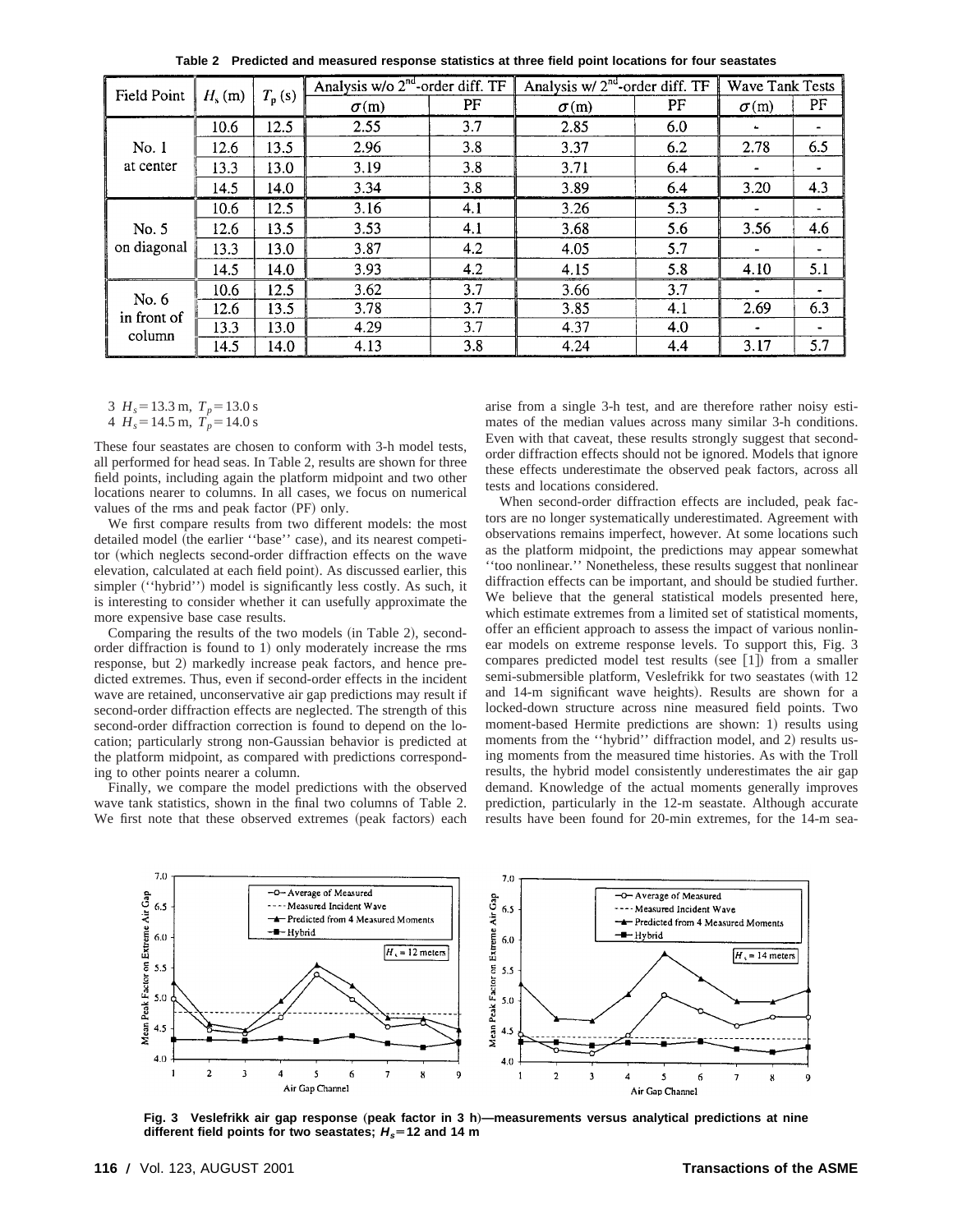| <b>Field Point</b>             | $H_{\rm s}$ (m) | $T_{\rm p}$ (s) | Analysis w/o $2nd$ -order diff. TF |     | Analysis w/ $2nd$ -order diff. TF | <b>Wave Tank Tests</b> |              |     |
|--------------------------------|-----------------|-----------------|------------------------------------|-----|-----------------------------------|------------------------|--------------|-----|
|                                |                 |                 | $\sigma(m)$                        | PF  | $\sigma$ (m)                      | PF                     | $\sigma$ (m) | PF  |
| No. 1<br>at center             | 10.6            | 12.5            | 2.55                               | 3.7 | 2.85                              | 6.0                    | $\bullet$    |     |
|                                | 12.6            | 13.5            | 2.96                               | 3.8 | 3.37                              | 6.2                    | 2.78         | 6.5 |
|                                | 13.3            | 13.0            | 3.19                               | 3.8 | 3.71                              | 6.4                    |              |     |
|                                | 14.5            | 14.0            | 3.34                               | 3.8 | 3.89                              | 6.4                    | 3.20         | 4.3 |
| No. 5<br>on diagonal           | 10.6            | 12.5            | 3.16                               | 4.1 | 3.26                              | 5.3                    |              |     |
|                                | 12.6            | 13.5            | 3.53                               | 4.1 | 3.68                              | 5.6                    | 3.56         | 4.6 |
|                                | 13.3            | 13.0            | 3.87                               | 4.2 | 4.05                              | 5.7                    |              |     |
|                                | 14.5            | 14.0            | 3.93                               | 4.2 | 4.15                              | 5.8                    | 4.10         | 5.1 |
| No. 6<br>in front of<br>column | 10.6            | 12.5            | 3.62                               | 3.7 | 3.66                              | 3.7                    |              |     |
|                                | 12.6            | 13.5            | 3.78                               | 3.7 | 3.85                              | 4.1                    | 2.69         | 6.3 |
|                                | 13.3            | 13.0            | 4.29                               | 3.7 | 4.37                              | 4.0                    | $\bullet$    |     |
|                                | 14.5            | 14.0            | 4.13                               | 3.8 | 4.24                              | 4.4                    | 3.17         | 5.7 |

**Table 2 Predicted and measured response statistics at three field point locations for four seastates**

3  $H_s = 13.3$  m,  $T_p = 13.0$  s

4 
$$
H_s = 14.5
$$
 m,  $T_p = 14.0$  s

These four seastates are chosen to conform with 3-h model tests, all performed for head seas. In Table 2, results are shown for three field points, including again the platform midpoint and two other locations nearer to columns. In all cases, we focus on numerical values of the rms and peak factor (PF) only.

We first compare results from two different models: the most detailed model (the earlier "base" case), and its nearest competitor (which neglects second-order diffraction effects on the wave elevation, calculated at each field point). As discussed earlier, this simpler ("hybrid") model is significantly less costly. As such, it is interesting to consider whether it can usefully approximate the more expensive base case results.

Comparing the results of the two models (in Table 2), secondorder diffraction is found to 1) only moderately increase the rms response, but 2) markedly increase peak factors, and hence predicted extremes. Thus, even if second-order effects in the incident wave are retained, unconservative air gap predictions may result if second-order diffraction effects are neglected. The strength of this second-order diffraction correction is found to depend on the location; particularly strong non-Gaussian behavior is predicted at the platform midpoint, as compared with predictions corresponding to other points nearer a column.

Finally, we compare the model predictions with the observed wave tank statistics, shown in the final two columns of Table 2. We first note that these observed extremes (peak factors) each

arise from a single 3-h test, and are therefore rather noisy estimates of the median values across many similar 3-h conditions. Even with that caveat, these results strongly suggest that secondorder diffraction effects should not be ignored. Models that ignore these effects underestimate the observed peak factors, across all tests and locations considered.

When second-order diffraction effects are included, peak factors are no longer systematically underestimated. Agreement with observations remains imperfect, however. At some locations such as the platform midpoint, the predictions may appear somewhat ''too nonlinear.'' Nonetheless, these results suggest that nonlinear diffraction effects can be important, and should be studied further. We believe that the general statistical models presented here, which estimate extremes from a limited set of statistical moments, offer an efficient approach to assess the impact of various nonlinear models on extreme response levels. To support this, Fig. 3 compares predicted model test results (see  $[1]$ ) from a smaller semi-submersible platform, Veslefrikk for two seastates (with 12 and 14-m significant wave heights). Results are shown for a locked-down structure across nine measured field points. Two moment-based Hermite predictions are shown: 1) results using moments from the "hybrid" diffraction model, and 2) results using moments from the measured time histories. As with the Troll results, the hybrid model consistently underestimates the air gap demand. Knowledge of the actual moments generally improves prediction, particularly in the 12-m seastate. Although accurate results have been found for 20-min extremes, for the 14-m sea-



Fig. 3 Veslefrikk air gap response (peak factor in 3 h)—measurements versus analytical predictions at nine **different field points for two seastates;**  $H_s = 12$  and 14 m